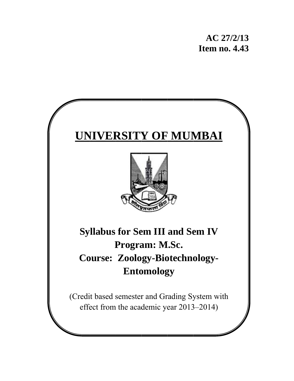# **UNIVERSITY OF MUMBAI**



**Sy yllabus for Se em III and Se em IV** Course: Zoology-Biotechnology-**P Progra am: M M.Sc.**  Entomology

(Credit based semester and Grading System with effect from the academic year 2013–2014)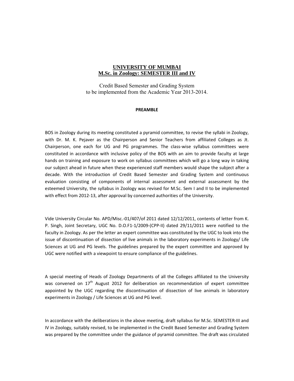#### **UNIVERSITY OF MUMBAI M.Sc. in Zoology: SEMESTER III and IV**

Credit Based Semester and Grading System to be implemented from the Academic Year 2013-2014.

#### **PREAMBLE**

BOS in Zoology during its meeting constituted a pyramid committee, to revise the syllabi in Zoology, with Dr. M. K. Pejaver as the Chairperson and Senior Teachers from affiliated Colleges as Jt. Chairperson, one each for UG and PG programmes. The class-wise syllabus committees were constituted in accordance with inclusive policy of the BOS with an aim to provide faculty at large hands on training and exposure to work on syllabus committees which will go a long way in taking our subject ahead in future when these experienced staff members would shape the subject after a decade. With the introduction of Credit Based Semester and Grading System and continuous evaluation consisting of components of internal assessment and external assessment by the esteemed University, the syllabus in Zoology was revised for M.Sc. Sem I and II to be implemented with effect from 2012‐13, after approval by concerned authorities of the University.

Vide University Circular No. APD/Misc.‐01/407/of 2011 dated 12/12/2011, contents of letter from K. P. Singh, Joint Secretary, UGC No. D.O.F1‐1/2009‐(CPP‐II) dated 29/11/2011 were notified to the faculty in Zoology. As per the letter an expert committee was constituted by the UGC to look into the issue of discontinuation of dissection of live animals in the laboratory experiments in Zoology/ Life Sciences at UG and PG levels. The guidelines prepared by the expert committee and approved by UGC were notified with a viewpoint to ensure compliance of the guidelines.

A special meeting of Heads of Zoology Departments of all the Colleges affiliated to the University was convened on  $17<sup>th</sup>$  August 2012 for deliberation on recommendation of expert committee appointed by the UGC regarding the discontinuation of dissection of live animals in laboratory experiments in Zoology / Life Sciences at UG and PG level.

In accordance with the deliberations in the above meeting, draft syllabus for M.Sc. SEMESTER‐III and IV in Zoology, suitably revised, to be implemented in the Credit Based Semester and Grading System was prepared by the committee under the guidance of pyramid committee. The draft was circulated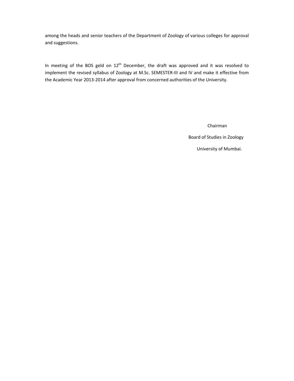among the heads and senior teachers of the Department of Zoology of various colleges for approval and suggestions.

In meeting of the BOS geld on 12<sup>th</sup> December, the draft was approved and it was resolved to implement the revised syllabus of Zoology at M.Sc. SEMESTER‐III and IV and make it effective from the Academic Year 2013‐2014 after approval from concerned authorities of the University.

Chairman

Board of Studies in Zoology

University of Mumbai.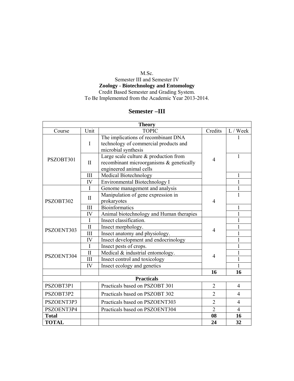#### M.Sc. Semester III and Semester IV **Zoology - Biotechnology and Entomology** Credit Based Semester and Grading System. To Be Implemented from the Academic Year 2013-2014.

## **Semester –III**

| <b>Theory</b> |                     |                                          |                |                |  |
|---------------|---------------------|------------------------------------------|----------------|----------------|--|
| Course        | Unit                | <b>TOPIC</b>                             | Credits        | L / Week       |  |
|               |                     | The implications of recombinant DNA      |                |                |  |
|               | $\bf{I}$            | technology of commercial products and    |                |                |  |
|               |                     | microbial synthesis                      |                |                |  |
| PSZOBT301     |                     | Large scale culture $&$ production from  | 4              | 1              |  |
|               | $\mathbf{I}$        | recombinant microorganisms & genetically |                |                |  |
|               |                     | engineered animal cells                  |                |                |  |
|               | III                 | Medical Biotechnology                    |                | 1              |  |
|               | IV                  | Environmental Biotechnology I            |                |                |  |
|               | $\mathbf{I}$        | Genome management and analysis           |                | 1              |  |
|               | $\mathbf{I}$        | Manipulation of gene expression in       |                | 1              |  |
| PSZOBT302     |                     | prokaryotes                              | 4              |                |  |
|               | III                 | <b>Bioinformatics</b>                    |                | $\mathbf{1}$   |  |
|               | IV                  | Animal biotechnology and Human therapies |                | $\mathbf{1}$   |  |
|               | $\mathbf I$         | Insect classification.                   |                | 1              |  |
| PSZOENT303    | $\overline{\rm II}$ | Insect morphology.                       | 4              | 1              |  |
|               | III                 | Insect anatomy and physiology.           |                | $\mathbf{1}$   |  |
|               | IV                  | Insect development and endocrinology     |                | 1              |  |
|               | $\mathbf I$         | Insect pests of crops.                   |                | 1              |  |
| PSZOENT304    | $\mathbf{I}$        | Medical & industrial entomology.         | 4              | $\mathbf 1$    |  |
|               | III                 | Insect control and toxicology            |                | $\mathbf{1}$   |  |
|               | IV                  | Insect ecology and genetics              |                | $\mathbf{1}$   |  |
| 16<br>16      |                     |                                          |                |                |  |
|               |                     | <b>Practicals</b>                        |                |                |  |
| PSZOBT3P1     |                     | Practicals based on PSZOBT 301           | $\overline{2}$ | $\overline{4}$ |  |
| PSZOBT3P2     |                     | Practicals based on PSZOBT 302           | $\overline{2}$ | $\overline{4}$ |  |
| PSZOENT3P3    |                     | Practicals based on PSZOENT303           | $\overline{2}$ | $\overline{4}$ |  |
| PSZOENT3P4    |                     | Practicals based on PSZOENT304           | $\overline{2}$ | 4              |  |
| <b>Total</b>  | 08<br>16            |                                          |                |                |  |
| <b>TOTAL</b>  |                     |                                          | 24             | 32             |  |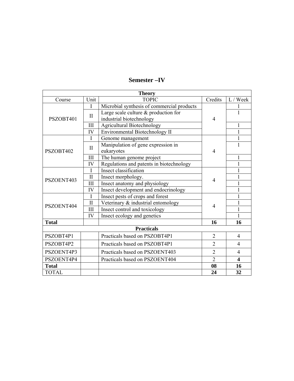| <b>Theory</b>      |              |                                            |                |                |
|--------------------|--------------|--------------------------------------------|----------------|----------------|
| Course             | Unit         | <b>TOPIC</b>                               | Credits        | L / Week       |
|                    | $\mathbf I$  | Microbial synthesis of commercial products |                |                |
|                    | $\mathbf{I}$ | Large scale culture & production for       |                | $\mathbf{1}$   |
| PSZOBT401          |              | industrial biotechnology                   | 4              |                |
|                    | III          | <b>Agricultural Biotechnology</b>          |                | 1              |
|                    | IV           | Environmental Biotechnology II             |                | 1              |
|                    | I            | Genome management                          |                | $\mathbf{1}$   |
|                    | $\mathbf{I}$ | Manipulation of gene expression in         |                | 1              |
| PSZOBT402          |              | eukaryotes                                 | 4              |                |
|                    | III          | The human genome project                   |                | 1              |
|                    | IV           | Regulations and patents in biotechnology   |                | 1              |
|                    | I            | Insect classification                      |                |                |
| PSZOENT403         | $\mathbf{I}$ | Insect morphology.                         | 4              | 1              |
|                    | III          | Insect anatomy and physiology              |                | $\mathbf 1$    |
|                    | IV           | Insect development and endocrinology       |                |                |
|                    | I            | Insect pests of crops and forest           |                |                |
| PSZOENT404         | $\mathbf{I}$ | Veterinary & industrial entomology<br>4    |                |                |
|                    | III          | Insect control and toxicology              |                | $\mathbf{1}$   |
|                    | IV           | Insect ecology and genetics                |                | 1              |
| <b>Total</b>       |              |                                            | 16             | 16             |
| <b>Practicals</b>  |              |                                            |                |                |
| PSZOBT4P1          |              | Practicals based on PSZOBT4P1              | $\overline{2}$ | $\overline{4}$ |
| PSZOBT4P2          |              | Practicals based on PSZOBT4P1              | $\overline{2}$ | 4              |
| PSZOENT4P3         |              | Practicals based on PSZOENT403             | $\overline{2}$ | $\overline{4}$ |
| PSZOENT4P4         |              | Practicals based on PSZOENT404             | $\overline{2}$ | 4              |
| 08<br><b>Total</b> |              | 16                                         |                |                |
| <b>TOTAL</b>       |              |                                            | 24             | 32             |

## **Semester –IV**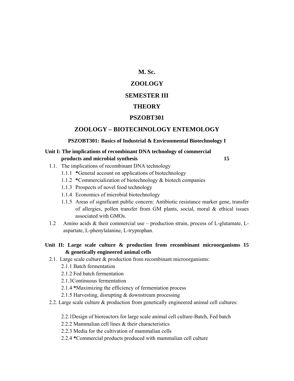#### **M. Sc.**

#### **ZOOLOGY**

#### **SEMESTER III**

#### **THEORY**

#### **PSZOBT301**

#### **ZOOLOGY – BIOTECHNOLOGY ENTEMOLOGY**

#### **PSZOBT301: Basics of Industrial & Environmental Biotechnology I**

#### **Unit I: The implications of recombinant DNA technology of commercial products and microbial synthesis** 15

- 1.1. The implications of recombinant DNA technology
	- 1.1.1 **\***General account on applications of biotechnology
	- 1.1.2 **\***Commercialization of biotechnology & biotech companies
	- 1.1.3 Prospects of novel food technology
	- 1.1.4 Economics of microbial biotechnology
	- 1.1.5 Areas of significant public concern: Antibiotic resistance marker gene, transfer of allergies, pollen transfer from GM plants, social, moral & ethical issues associated with GMOs.
- 1.2 Amino acids & their commercial use production strain, process of L-glutamate, Laspartate, L-phenylalanine, L-tryptophan.
- **Unit II: Large scale culture & production from recombinant microorganisms 15 & genetically engineered animal cells** 
	- 2.1. Large scale culture & production from recombinant microorganisms:
		- 2.1.1 Batch fermentation
		- 2.1.2 Fed batch fermentation
		- 2.1.3Continuous fermentation
		- 2.1.4 **\***Maximizing the efficiency of fermentation process
		- 2.1.5 Harvesting, disrupting & downstream processing
	- 2.2. Large scale culture & production from genetically engineered animal cell cultures:
		- 2.2.1Design of bioreactors for large scale animal cell culture-Batch, Fed batch
		- 2.2.2 Mammalian cell lines & their characteristics
		- 2.2.3 Media for the cultivation of mammalian cells
		- 2.2.4 **\***Commercial products produced with mammalian cell culture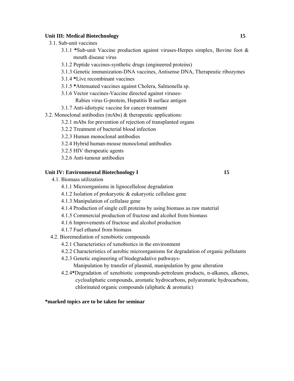#### **Unit III: Medical Biotechnology 15**

- 3.1. Sub-unit vaccines
	- 3.1.1 **\***Sub-unit Vaccine production against viruses-Herpes simplex, Bovine foot & mouth disease virus
	- 3.1.2 Peptide vaccines-synthetic drugs (engineered proteins)
	- 3.1.3 Genetic immunization-DNA vaccines, Antisense DNA, Therapeutic ribozymes
	- 3.1.4 **\***Live recombinant vaccines
	- 3.1.5 **\***Attenuated vaccines against Cholera, Salmonella sp.
	- 3.1.6 Vector vaccines-Vaccine directed against viruses-Rabies virus G-protein, Hepatitis B surface antigen
	- 3.1.7 Anti-idiotypic vaccine for cancer treatment
- 3.2. Monoclonal antibodies (mAbs) & therapeutic applications:
	- 3.2.1 mAbs for prevention of rejection of transplanted organs
	- 3.2.2 Treatment of bacterial blood infection
	- 3.2.3 Human monoclonal antibodies
	- 3.2.4 Hybrid human-mouse monoclonal antibodies
	- 3.2.5 HIV therapeutic agents
	- 3.2.6 Anti-tumour antibodies

#### Unit IV: Environmental Biotechnology I 15

- 4.1. Biomass utilization
	- 4.1.1 Microorganisms in lignocellulose degradation
	- 4.1.2 Isolation of prokaryotic & eukaryotic cellulase gene
	- 4.1.3 Manipulation of cellulase gene
	- 4.1.4 Production of single cell proteins by using biomass as raw material
	- 4.1.5 Commercial production of fructose and alcohol from biomass
	- 4.1.6 Improvements of fructose and alcohol production
	- 4.1.7 Fuel ethanol from biomass
- 4.2. Bioremediation of xenobiotic compounds
	- 4.2.1 Characteristics of xenobiotics in the environment
	- 4.2.2 Characteristics of aerobic microorganisms for degradation of organic pollutants
	- 4.2.3 Genetic engineering of biodegradative pathways-

Manipulation by transfer of plasmid, manipulation by gene alteration

4.2.4**\***Degradation of xenobiotic compounds-petroleum products, n-alkanes, alkenes, cycloaliphatic compounds, aromatic hydrocarbons, polyaromatic hydrocarbons, chlorinated organic compounds (aliphatic & aromatic)

#### **\*marked topics are to be taken for seminar**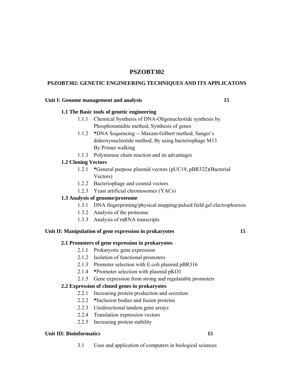#### **PSZOBT302**

#### **PSZOBT302: GENETIC ENGINEERING TECHNIQUES AND ITS APPLICATONS**

#### Unit I: Genome management and analysis **15**

#### **1.1 The Basic tools of genetic engineering**

- 1.1.1 Chemical Synthesis of DNA-Oligonucleotide synthesis by Phosphoramidite method, Synthesis of genes
- 1.1.2 **\***DNA Sequencing -- Maxam-Gilbert method, Sanger's dideoxynucleotide method, By using bacteriophage M13 By Primer walking
- 1.1.3 Polymerase chain reaction and its advantages

#### **1.2 Cloning Vectors**

- 1.2.1 **\***General purpose plasmid vectors (pUC19, pBR322)(Bacterial Vectors)
- 1.2.2 Bacteriophage and cosmid vectors
- 1.2.3 Yeast artificial chromosomes (YACs)

#### **1.3 Analysis of genome/proteome**

- 1.3.1 DNA fingerprinting/physical mapping/pulsed field gel electrophoresis
- 1.3.2 Analysis of the proteome
- 1.3.3 Analysis of mRNA transcripts

#### **Unit II: Manipulation of gene expression in prokaryotes 15**

#### **2.1 Promoters of gene expression in prokaryotes**

- 2.1.1 Prokaryotic gene expression
- 2.1.2 Isolation of functional promoters
- 2.1.3 Promoter selection with E.coli plasmid pBR316
- 2.1.4 **\***Promoter selection with plasmid pKO1
- 2.1.5 Gene expression from strong and regulatable promoters

#### **2.2 Expression of cloned genes in prokaryotes**

- 2.2.1 Increasing protein production and secretion
- 2.2.2 **\***Inclusion bodies and fusion proteins
- 2.2.3 Unidirectional tandem gene arrays
- 2.2.4 Translation expression vectors
- 2.2.5 Increasing protein stability

#### Unit III: Bioinformatics 15

3.1 Uses and application of computers in biological sciences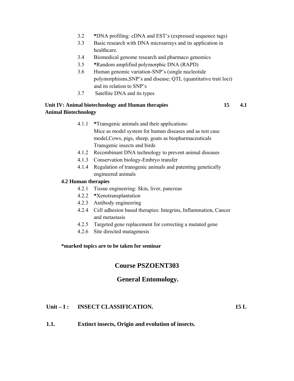- 3.2 **\***DNA profiling: cDNA and EST's (expressed sequence tags)
- 3.3 Basic research with DNA microarrays and its application in healthcare.
- 3.4 Biomedical genome research and pharmaco genomics
- 3.5 **\***Random amplified polymorphic DNA (RAPD)
- 3.6 Human genomic variation-SNP's (single nucleotide polymorphisms,SNP's and disease; QTL (quantitative trait loci) and its relation to SNP's
- 3.7 Satellite DNA and its types

#### **Unit IV: Animal biotechnology and Human therapies 15 4.1 Animal Biotechnology**

- 4.1.1 **\***Transgenic animals and their applications: Mice as model system for human diseases and as test case model,Cows, pigs, sheep, goats as biopharmaceuticals Transgenic insects and birds
- 4.1.2 Recombinant DNA technology to prevent animal diseases
- 4.1.3 Conservation biology-Embryo transfer
- 4.1.4 Regulation of transgenic animals and patenting genetically engineered animals

#### **4.2 Human therapies**

- 4.2.1 Tissue engineering: Skin, liver, pancreas
- 4.2.2 **\***Xenotransplantation
- 4.2.3 Antibody engineering
- 4.2.4 Cell adhesion based therapies: Integrins, Inflammation, Cancer and metastasis
- 4.2.5 Targeted gene replacement for correcting a mutated gene
- 4.2.6 Site directed mutagenesis

#### **\*marked topics are to be taken for seminar**

#### **Course PSZOENT303**

#### **General Entomology.**

#### Unit – I : INSECT CLASSIFICATION. 15 L

**1.1. Extinct insects, Origin and evolution of insects.**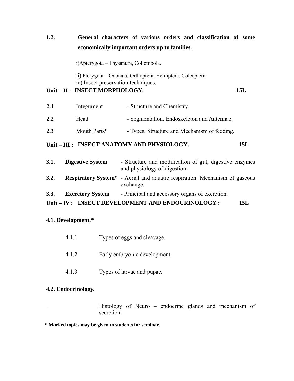## **1.2. General characters of various orders and classification of some economically important orders up to families.**

i)Apterygota – Thysanura, Collembola.

 ii) Pterygota – Odonata, Orthoptera, Hemiptera, Coleoptera. iii) Insect preservation techniques.

#### Unit – II : INSECT MORPHOLOGY. 15L

| 2.1 | Integument   | - Structure and Chemistry.                   |
|-----|--------------|----------------------------------------------|
| 2.2 | Head         | - Segmentation, Endoskeleton and Antennae.   |
| 2.3 | Mouth Parts* | - Types, Structure and Mechanism of feeding. |

#### Unit – III : INSECT ANATOMY AND PHYSIOLOGY. 15L

| 3.1. | <b>Digestive System</b> | - Structure and modification of gut, digestive enzymes<br>and physiology of digestion.                    |
|------|-------------------------|-----------------------------------------------------------------------------------------------------------|
| 3.2. |                         | <b>Respiratory System<sup>*</sup></b> - Aerial and aquatic respiration. Mechanism of gaseous<br>exchange. |
| 3.3. | <b>Excretory System</b> | - Principal and accessory organs of excretion.                                                            |
|      |                         | Unit-IV: INSECT DEVELOPMENT AND ENDOCRINOLOGY:<br>15L                                                     |

#### **4.1. Development.\***

- 4.1.1 Types of eggs and cleavage.
- 4.1.2 Early embryonic development.
- 4.1.3 Types of larvae and pupae.

#### **4.2. Endocrinology.**

. Histology of Neuro – endocrine glands and mechanism of secretion.

**\* Marked topics may be given to students for seminar.**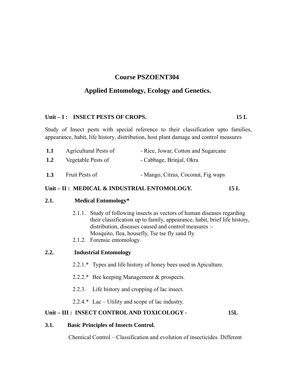## **Course PSZOENT304**

## **Applied Entomology, Ecology and Genetics.**

#### Unit – I : INSECT PESTS OF CROPS. 15 L

Study of Insect pests with special reference to their classification upto families, appearance, habit, life history, distribution, host plant damage and control measures

| 1.1 | Agricultural Pests of | - Rice, Jowar, Cotton and Sugarcane |
|-----|-----------------------|-------------------------------------|
| 1.2 | Vegetable Pests of    | - Cabbage, Brinjal, Okra            |
| 1.3 | Fruit Pests of        | - Mango, Citrus, Coconut, Fig waps  |

#### Unit – II : MEDICAL & INDUSTRIAL ENTOMOLOGY. 15 L

#### **2.1. Medical Entomology\***

- 2.1.1. Study of following insects as vectors of human diseases regarding their classification up to family, appearance, habit, brief life history, distribution, diseases caused and control measures :- Mosquito, flea, housefly, Tse tse fly sand fly.
- 2.1.2. Forensic entomology.

| 2.2. | <b>Industrial Entomology</b> |
|------|------------------------------|
|------|------------------------------|

- 2.2.1.\* Types and life history of honey bees used in Apiculture.
- 2.2.2.\* Bee keeping Management & prospects.
- 2.2.3. Life history and cropping of lac insect.
- 2.2.4. $*$  Lac Utility and scope of lac industry.

#### Unit – III : INSECT CONTROL AND TOXICOLOGY - 15L

#### **3.1. Basic Principles of Insects Control.**

Chemical Control – Classification and evolution of insecticides. Different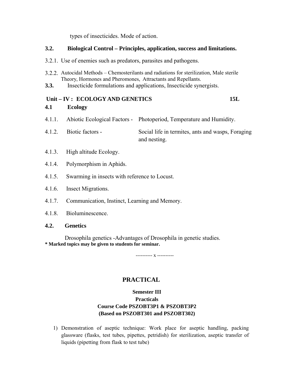types of insecticides. Mode of action.

#### **3.2. Biological Control – Principles, application, success and limitations.**

- 3.2.1. Use of enemies such as predators, parasites and pathogens.
- 3.2.2. Autocidal Methods Chemosterilants and radiations for sterilization, Male sterile Theory, Hormones and Pheromones, Attractants and Repellants.
- **3.3.** Insecticide formulations and applications, Insecticide synergists.

## Unit – IV : ECOLOGY AND GENETICS 15L **4.1 Ecology**

- 4.1.1. Abiotic Ecological Factors Photoperiod, Temperature and Humidity.
- 4.1.2. Biotic factors Social life in termites, ants and wasps, Foraging and nesting.
- 4.1.3. High altitude Ecology.
- 4.1.4. Polymorphism in Aphids.
- 4.1.5. Swarming in insects with reference to Locust.
- 4.1.6. Insect Migrations.
- 4.1.7. Communication, Instinct, Learning and Memory.
- 4.1.8. Bioluminescence.

#### **4.2. Genetics**

 Drosophila genetics -Advantages of Drosophila in genetic studies. **\* Marked topics may be given to students for seminar.** 

---------- х ----------

## **PRACTICAL**

## **Semester III Practicals Course Code PSZOBT3P1 & PSZOBT3P2 (Based on PSZOBT301 and PSZOBT302)**

1) Demonstration of aseptic technique: Work place for aseptic handling, packing glassware (flasks, test tubes, pipettes, petridish) for sterilization, aseptic transfer of liquids (pipetting from flask to test tube)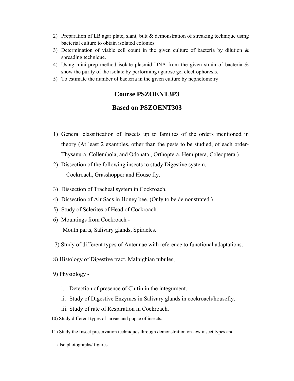- 2) Preparation of LB agar plate, slant, butt & demonstration of streaking technique using bacterial culture to obtain isolated colonies.
- 3) Determination of viable cell count in the given culture of bacteria by dilution  $\&$ spreading technique.
- 4) Using mini-prep method isolate plasmid DNA from the given strain of bacteria & show the purity of the isolate by performing agarose gel electrophoresis.
- 5) To estimate the number of bacteria in the given culture by nephelometry.

### **Course PSZOENT3P3**

## **Based on PSZOENT303**

- 1) General classification of Insects up to families of the orders mentioned in theory (At least 2 examples, other than the pests to be studied, of each order-Thysanura, Collembola, and Odonata , Orthoptera, Hemiptera, Coleoptera.)
- 2) Dissection of the following insects to study Digestive system. Cockroach, Grasshopper and House fly.
- 3) Dissection of Tracheal system in Cockroach.
- 4) Dissection of Air Sacs in Honey bee. (Only to be demonstrated.)
- 5) Study of Sclerites of Head of Cockroach.
- 6) Mountings from Cockroach Mouth parts, Salivary glands, Spiracles.
- 7) Study of different types of Antennae with reference to functional adaptations.
- 8) Histology of Digestive tract, Malpighian tubules,
- 9) Physiology
	- i. Detection of presence of Chitin in the integument.
	- ii. Study of Digestive Enzymes in Salivary glands in cockroach/housefly.
	- iii. Study of rate of Respiration in Cockroach.
- 10) Study different types of larvae and pupae of insects.
- 11) Study the Insect preservation techniques through demonstration on few insect types and

also photographs/ figures.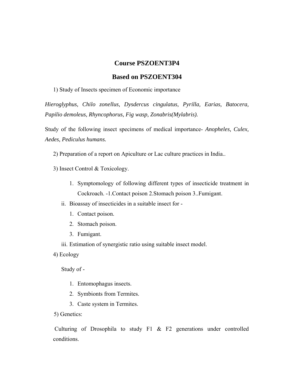### **Course PSZOENT3P4**

#### **Based on PSZOENT304**

1) Study of Insects specimen of Economic importance

*Hieroglyphus, Chilo zonellus, Dysdercus cingulatus, Pyrilla, Earias, Batocera, Papilio demoleus, Rhyncophorus, Fig wasp, Zonabris(Mylabris).* 

Study of the following insect specimens of medical importance- *Anopheles, Culex, Aedes, Pediculus humans.* 

2) Preparation of a report on Apiculture or Lac culture practices in India..

3) Insect Control & Toxicology.

- 1. Symptomology of following different types of insecticide treatment in Cockroach. -1.Contact poison 2.Stomach poison 3..Fumigant.
- ii. Bioassay of insecticides in a suitable insect for
	- 1. Contact poison.
	- 2. Stomach poison.
	- 3. Fumigant.
- iii. Estimation of synergistic ratio using suitable insect model.

4) Ecology

Study of -

- 1. Entomophagus insects.
- 2. Symbionts from Termites.
- 3. Caste system in Termites.

5) Genetics:

 Culturing of Drosophila to study F1 & F2 generations under controlled conditions.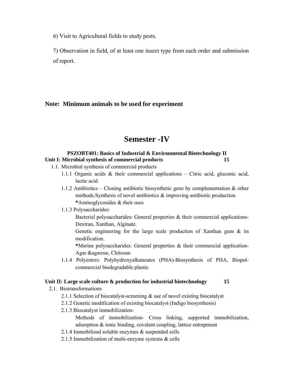6) Visit to Agricultural fields to study pests.

7) Observation in field, of at least one insect type from each order and submission of report.

## **Note: Minimum animals to be used for experiment**

## **Semester -IV**

#### **PSZOBT401: Basics of Industrial & Environmental Biotechnology II Unit I: Microbial synthesis of commercial products 15**

- 1.1. Microbial synthesis of commercial products
	- 1.1.1 Organic acids & their commercial applications Citric acid, gluconic acid, lactic acid.
	- 1.1.2 Antibiotics Cloning antibiotic biosynthetic gene by complementation & other methods.Synthesis of novel antibiotics & improving antibiotic production. **\***Aminoglycosides & their uses
	- 1.1.3 Polysaccharides:

 Bacterial polysaccharides: General properties & their commercial applications-Dextran, Xanthan, Alginate.

 Genetic engineering for the large scale production of Xanthan gum & its modification.

**\***Marine polysaccharides: General properties & their commercial application-Agar &agarose, Chitosan

1.1.4 Polyesters: Polyhydroxyalkanoates (PHA)-Biosynthesis of PHA, Biopolcommercial biodegradable plastic

#### **Unit II: Large scale culture & production for industrial biotechnology 15**

- 2.1. Biotransformations
	- 2.1.1 Selection of biocatalyst-screening & use of novel existing biocatalyst
	- 2.1.2 Genetic modification of existing biocatalyst (Indigo biosynthesis)
	- 2.1.3 Biocatalyst immobilization-

 Methods of immobilization- Cross linking, supported immobilization, adsorption & ionic binding, covalent coupling, lattice entrapment

- 2.1.4 Immobilized soluble enzymes & suspended cells
- 2.1.5 Immobilization of multi-enzyme systems & cells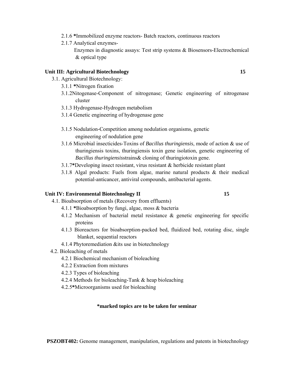- 2.1.6 **\***Immobilized enzyme reactors- Batch reactors, continuous reactors
- 2.1.7 Analytical enzymes-

 Enzymes in diagnostic assays: Test strip systems & Biosensors-Electrochemical & optical type

#### **Unit III: Agricultural Biotechnology 15**

- 3.1. Agricultural Biotechnology:
	- 3.1.1 **\***Nitrogen fixation
	- 3.1.2Nitogenase-Component of nitrogenase; Genetic engineering of nitrogenase cluster
	- 3.1.3 Hydrogenase-Hydrogen metabolism
	- 3.1.4 Genetic engineering of hydrogenase gene
	- 3.1.5 Nodulation-Competition among nodulation organisms, genetic engineering of nodulation gene
	- 3.1.6 Microbial insecticides-Toxins of *Bacillus thuringiensis*, mode of action & use of thuringiensis toxins, thuringiensis toxin gene isolation, genetic engineering of *Bacillus thuringiensis*strains& cloning of thuringiotoxin gene.
	- 3.1.7**\***Developing insect resistant, virus resistant & herbicide resistant plant
	- 3.1.8 Algal products: Fuels from algae, marine natural products & their medical potential-anticancer, antiviral compounds, antibacterial agents.

#### Unit IV: Environmental Biotechnology II **15**

- 4.1. Bioabsorption of metals (Recovery from effluents)
	- 4.1.1 **\***Bioabsorption by fungi, algae, moss & bacteria
	- 4.1.2 Mechanism of bacterial metal resistance & genetic engineering for specific proteins
	- 4.1.3 Bioreactors for bioabsorption-packed bed, fluidized bed, rotating disc, single blanket, sequential reactors
	- 4.1.4 Phytoremediation &its use in biotechnology
- 4.2. Bioleaching of metals
	- 4.2.1 Biochemical mechanism of bioleaching
	- 4.2.2 Extraction from mixtures
	- 4.2.3 Types of bioleaching
	- 4.2.4 Methods for bioleaching-Tank & heap bioleaching
	- 4.2.5**\***Microorganisms used for bioleaching

#### **\*marked topics are to be taken for seminar**

**PSZOBT402:** Genome management, manipulation, regulations and patents in biotechnology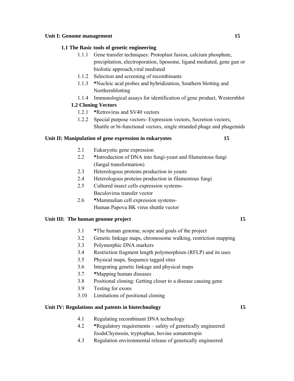#### Unit I: Genome management 15

#### **1.1 The Basic tools of genetic engineering**

- 1.1.1 Gene transfer techniques: Protoplast fusion, calcium phosphate, precipitation, electroporation, liposome, ligand mediated, gene gun or biolistic approach,viral mediated
- 1.1.2 Selection and screening of recombinants
- 1.1.3 **\***Nucleic acid probes and hybridization, Southern blotting and Northernblotting
- 1.1.4 Immunological assays for identification of gene product, Westernblot

#### **1.2 Cloning Vectors**

- 1.2.1 **\***Retrovirus and SV40 vectors
- 1.2.2 Special purpose vectors- Expression vectors, Secretion vectors, Shuttle or bi-functional vectors, single stranded phage and phagemids

#### **Unit II: Manipulation of gene expression in eukaryotes 15**

- 2.1 Eukaryotic gene expression
- 2.2 **\***Introduction of DNA into fungi-yeast and filamentous fungi (fungal transformation)
- 2.3 Heterologous proteins production in yeasts
- 2.4 Heterologous proteins production in filamentous fungi
- 2.5 Cultured insect cells expression systems-Baculovirus transfer vector
- 2.6 **\***Mammalian cell expression systems- Human Papova BK virus shuttle vector

#### Unit III: The human genome project 15

- 3.1 **\***The human genome, scope and goals of the project
- 3.2 Genetic linkage maps, chromosome walking, restriction mapping
- 3.3 Polymorphic DNA markers
- 3.4 Restriction fragment length polymorphism (RFLP) and its uses
- 3.5 Physical maps, Sequence tagged sites
- 3.6 Integrating genetic linkage and physical maps
- 3.7 **\***Mapping human diseases
- 3.8 Positional cloning: Getting closer to a disease causing gene
- 3.9 Testing for exons
- 3.10 Limitations of positional cloning

#### **Unit IV: Regulations and patents in biotechnology 15**

- 4.1 Regulating recombinant DNA technology
- 4.2 **\***Regulatory requirements safety of genetically engineered foodsChymosin, tryptophan, bovine somatotropin
- 4.3 Regulation environmental release of genetically engineered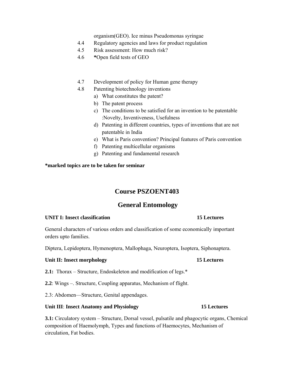organism(GEO). Ice minus Pseudomonas syringae

- 4.4 Regulatory agencies and laws for product regulation
- 4.5 Risk assessment: How much risk?
- 4.6 **\***Open field tests of GEO
- 4.7 Development of policy for Human gene therapy
- 4.8 Patenting biotechnology inventions
	- a) What constitutes the patent?
	- b) The patent process
	- c) The conditions to be satisfied for an invention to be patentable :Novelty, Inventiveness, Usefulness
	- d) Patenting in different countries, types of inventions that are not patentable in India
	- e) What is Paris convention? Principal features of Paris convention
	- f) Patenting multicellular organisms
	- g) Patenting and fundamental research

#### **\*marked topics are to be taken for seminar**

## **Course PSZOENT403**

## **General Entomology**

#### **UNIT I: Insect classification 15 Lectures**

General characters of various orders and classification of some economically important orders upto families.

Diptera, Lepidoptera, Hymenoptera, Mallophaga, Neuroptera, Isoptera, Siphonaptera.

#### **Unit II: Insect morphology 15 Lectures**

- **2.1:** Thorax Structure, Endoskeleton and modification of legs.\*
- **2.2**: Wings –. Structure, Coupling apparatus, Mechanism of flight.
- 2.3: Abdomen—Structure, Genital appendages.

#### **Unit III**: **Insect Anatomy and Physiology 15 Lectures**

**3.1:** Circulatory system – Structure, Dorsal vessel, pulsatile and phagocytic organs, Chemical composition of Haemolymph, Types and functions of Haemocytes, Mechanism of circulation, Fat bodies.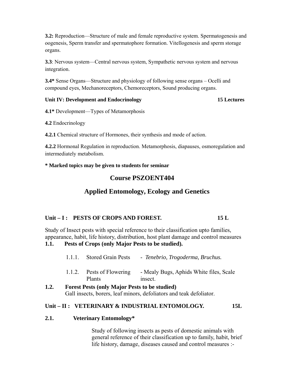**3.2:** Reproduction—Structure of male and female reproductive system. Spermatogenesis and oogenesis, Sperm transfer and spermatophore formation. Vitellogenesis and sperm storage organs.

**3.3**: Nervous system—Central nervous system, Sympathetic nervous system and nervous integration.

**3.4\*** Sense Organs—Structure and physiology of following sense organs – Ocelli and compound eyes, Mechanoreceptors, Chemoreceptors, Sound producing organs.

#### **Unit IV: Development and Endocrinology 15 Lectures**

**4.1\*** Development—Types of Metamorphosis

**4.2** Endocrinology

**4.2.1** Chemical structure of Hormones, their synthesis and mode of action.

**4.2.2** Hormonal Regulation in reproduction. Metamorphosis, diapauses, osmoregulation and intermediately metabolism.

**\* Marked topics may be given to students for seminar**

## **Course PSZOENT404**

## **Applied Entomology, Ecology and Genetics**

## Unit – I : PESTS OF CROPS AND FOREST. 15 L

Study of Insect pests with special reference to their classification upto families, appearance, habit, life history, distribution, host plant damage and control measures **1.1. Pests of Crops (only Major Pests to be studied).** 

| 1.1.1. Stored Grain Pests | - Tenebrio, Trogoderma, Bruchus. |
|---------------------------|----------------------------------|
|                           |                                  |

- 1.1.2. Pests of Flowering Plants - Mealy Bugs, Aphids White files, Scale insect.
- **1.2. Forest Pests (only Major Pests to be studied)**  Gall insects, borers, leaf minors, defoliators and teak defoliator.

## Unit – II : VETERINARY & INDUSTRIAL ENTOMOLOGY. 15L

#### **2.1. Veterinary Entomology\***

 Study of following insects as pests of domestic animals with general reference of their classification up to family, habit, brief life history, damage, diseases caused and control measures :-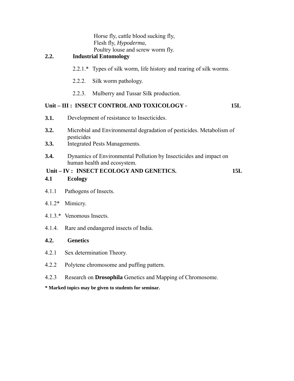| Horse fly, cattle blood sucking fly, |
|--------------------------------------|
| Flesh fly, <i>Hypoderma</i> ,        |
| Poultry louse and screw worm fly.    |

## **2.2. Industrial Entomology**

- 2.2.1.\* Types of silk worm, life history and rearing of silk worms.
- 2.2.2. Silk worm pathology.
- 2.2.3. Mulberry and Tussar Silk production.

## Unit – III : INSECT CONTROL AND TOXICOLOGY - 15L

- **3.1.** Development of resistance to Insecticides.
- **3.2.** Microbial and Environmental degradation of pesticides. Metabolism of pesticides
- **3.3.** Integrated Pests Managements.
- **3.4.** Dynamics of Environmental Pollution by Insecticides and impact on human health and ecosystem.

|             | Unit – IV: INSECT ECOLOGY AND GENETICS. |  |
|-------------|-----------------------------------------|--|
| $\Lambda$ 1 | $\Gamma$ <sup>oolooy</sup>              |  |

#### **4.1 Ecology**

- 4.1.1 Pathogens of Insects.
- 4.1.2\* Mimicry.
- 4.1.3.\* Venomous Insects.
- 4.1.4. Rare and endangered insects of India.

#### **4.2. Genetics**

- 4.2.1 Sex determination Theory.
- 4.2.2 Polytene chromosome and puffing pattern.
- 4.2.3 Research on **Drosophila** Genetics and Mapping of Chromosome.
- **\* Marked topics may be given to students for seminar.**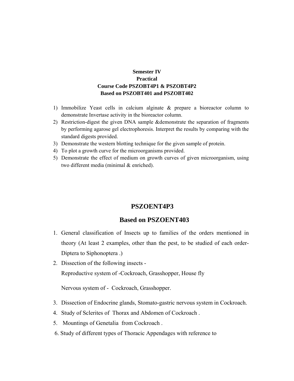#### **Semester IV Practical Course Code PSZOBT4P1 & PSZOBT4P2 Based on PSZOBT401 and PSZOBT402**

- 1) Immobilize Yeast cells in calcium alginate & prepare a bioreactor column to demonstrate Invertase activity in the bioreactor column.
- 2) Restriction-digest the given DNA sample &demonstrate the separation of fragments by performing agarose gel electrophoresis. Interpret the results by comparing with the standard digests provided.
- 3) Demonstrate the western blotting technique for the given sample of protein.
- 4) To plot a growth curve for the microorganisms provided.
- 5) Demonstrate the effect of medium on growth curves of given microorganism, using two different media (minimal & enriched).

#### **PSZOENT4P3**

#### **Based on PSZOENT403**

- 1. General classification of Insects up to families of the orders mentioned in theory (At least 2 examples, other than the pest, to be studied of each order-Diptera to Siphonoptera .)
- 2. Dissection of the following insects Reproductive system of -Cockroach, Grasshopper, House fly

Nervous system of - Cockroach, Grasshopper.

- 3. Dissection of Endocrine glands, Stomato-gastric nervous system in Cockroach.
- 4. Study of Sclerites of Thorax and Abdomen of Cockroach .
- 5. Mountings of Genetalia from Cockroach .
- 6. Study of different types of Thoracic Appendages with reference to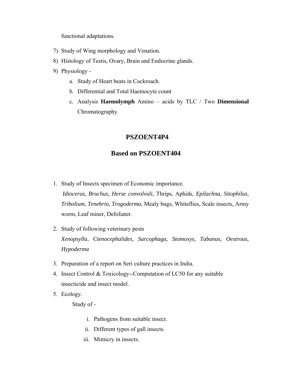functional adaptations.

- 7) Study of Wing morphology and Venation.
- 8) Histology of Testis, Ovary, Brain and Endocrine glands.
- 9) Physiology
	- a. Study of Heart beats in Cockroach.
	- b. Differential and Total Haemocyte count
	- c. Analysis **Haemolymph** Amino acids by TLC / Two **Dimensional**  Chromatography.

## **PSZOENT4P4**

## **Based on PSZOENT404**

1. Study of Insects specimen of Economic importance.

*Idiocerus, Bruchus, Herse convolvuli,* Thrips, Aphids, *Epilachna, Sitophilus, Tribolium, Tenebrio, Trogoderma*, Mealy bugs, Whiteflies, Scale insects, Army worm, Leaf miner, Defoliater.

- 2. Study of following veterinary pests *Xenopsylla, Ctenocephalides, Sarcophaga, Stomoxys, Tabanus, Oestrous, Hypoderma*
- 3. Preparation of a report on Seri culture practices in India.
- 4. Insect Control & Toxicology--Computation of LC50 for any suitable insecticide and insect model.
- 5. Ecology.

Study of -

- i. Pathogens from suitable insect.
- ii. Different types of gall insects.
- iii. Mimicry in insects.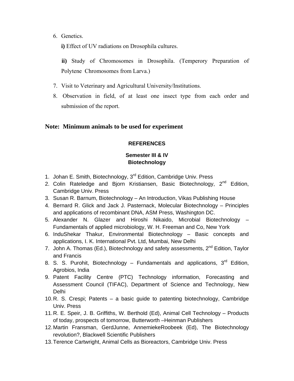6. Genetics.

**i)** Effect of UV radiations on Drosophila cultures.

**ii)** Study of Chromosomes in Drosophila. (Temperory Preparation of Polytene Chromosomes from Larva.)

- 7. Visit to Veterinary and Agricultural University/Institutions.
- 8. Observation in field, of at least one insect type from each order and submission of the report.

#### **Note: Minimum animals to be used for experiment**

#### **REFERENCES**

## **Semester III & IV Biotechnology**

- 1. Johan E. Smith, Biotechnology, 3<sup>rd</sup> Edition, Cambridge Univ. Press
- 2. Colin Rateledge and Bjorn Kristiansen, Basic Biotechnology,  $2^{nd}$  Edition, Cambridge Univ. Press
- 3. Susan R. Barnum, Biotechnology An Introduction, Vikas Publishing House
- 4. Bernard R. Glick and Jack J. Pasternack, Molecular Biotechnology Principles and applications of recombinant DNA, ASM Press, Washington DC.
- 5. Alexander N. Glazer and Hiroshi Nikaido, Microbial Biotechnology Fundamentals of applied microbiology, W. H. Freeman and Co, New York
- 6. InduShekar Thakur, Environmental Biotechnology Basic concepts and applications, I. K. International Pvt. Ltd, Mumbai, New Delhi
- 7. John A. Thomas (Ed.), Biotechnology and safety assessments,  $2^{nd}$  Edition, Taylor and Francis
- 8. S. S. Purohit, Biotechnology Fundamentals and applications,  $3<sup>rd</sup>$  Edition, Agrobios, India
- 9. Patent Facility Centre (PTC) Technology information, Forecasting and Assessment Council (TIFAC), Department of Science and Technology, New Delhi
- 10. R. S. Crespi; Patents a basic guide to patenting biotechnology, Cambridge Univ. Press
- 11. R. E. Speir, J. B. Griffiths, W. Berthold (Ed), Animal Cell Technology Products of today, prospects of tomorrow, Butterworth –Heinman Publishers
- 12. Martin Fransman, GerdJunne, AnnemiekeRoobeek (Ed), The Biotechnology revolution?, Blackwell Scientific Publishers
- 13. Terence Cartwright, Animal Cells as Bioreactors, Cambridge Univ. Press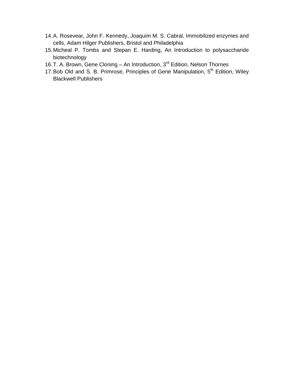- 14. A. Rosevear, John F. Kennedy, Joaquim M. S. Cabral, Immobilized enzymes and cells, Adam Hilger Publishers, Bristol and Philadelphia
- 15. Micheal P. Tombs and Stepan E. Harding, An Introduction to polysaccharide biotechnology
- 16. T. A. Brown, Gene Cloning An Introduction, 3<sup>rd</sup> Edition, Nelson Thornes
- 17. Bob Old and S. B. Primrose, Principles of Gene Manipulation, 5<sup>th</sup> Edition, Wiley Blackwell Publishers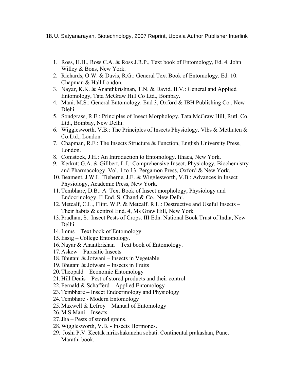- 1. Ross, H.H., Ross C.A. & Ross J.R.P., Text book of Entomology, Ed. 4. John Willey & Bons, New York.
- 2. Richards, O.W. & Davis, R.G.: General Text Book of Entomology. Ed. 10. Chapman & Hall London.
- 3. Nayar, K.K. & Ananthkrishnan, T.N. & David. B.V.: General and Applied Entomology, Tata McGraw Hill Co Ltd., Bombay.
- 4. Mani. M.S.: General Entomology. End 3, Oxford & IBH Publishing Co., New Dlehi.
- 5. Sondgrass, R.E.: Principles of Insect Morphology, Tata McGraw Hill, Rutl. Co. Ltd., Bombay, New Delhi.
- 6. Wigglesworth, V.B.: The Principles of Insects Physiology. Vlbs & Methuten  $\&$ Co.Ltd., London.
- 7. Chapman, R.F.: The Insects Structure & Function, English University Press, London.
- 8. Comstock, J.H.: An Introduction to Entomology. Ithaca, New York.
- 9. Kerkut: G.A. & Gillbert, L.I.: Comprehensive Insect. Physiology, Biochemistry and Pharmacology. Vol. 1 to 13. Pergamon Press, Oxford & New York.
- 10.Beament, J.W.L. Tieherne, J.E. & Wigglesworth, V.B.: Advances in Insect Physiology, Academic Press, New York.
- 11.Tembhare, D.B.: A Text Book of Insect morphology, Physiology and Endocrinology. II End. S. Chand & Co., New Delhi.
- 12.Metcalf, C.L., Flint. W.P. & Metcalf. R.L.: Destructive and Useful Insects Their habits & control End. 4, Ms Graw Hill, New York
- 13.Pradhan, S.: Insect Pests of Crops. III Edn. National Book Trust of India, New Delhi.
- 14.Imms Text book of Entomology.
- 15.Essig College Entomology.
- 16.Nayar & Anantkrishan Text book of Entomology.
- 17.Askew Parasitic Insects
- 18.Bhutani & Jotwani Insects in Vegetable
- 19.Bhutani & Jotwani Insects in Fruits
- 20.Theopald Economic Entomology
- 21.Hill Denis Pest of stored products and their control
- 22. Fernald  $& Schafferd Applied Entomology$
- 23.Tembhare Insect Endocrinology and Physiology
- 24.Tembhare Modern Entomology
- 25.Maxwell & Lefroy Manual of Entomology
- 26.M.S.Mani Insects.
- 27.Jha Pests of stored grains.
- 28.Wigglesworth, V.B. Insects Hormones.
- 29. Joshi P.V. Keetak nirikshakancha sobati. Continental prakashan, Pune. Marathi book.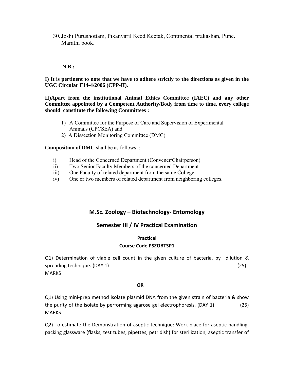30.Joshi Purushottam, Pikanvaril Keed Keetak, Continental prakashan, Pune. Marathi book.

#### **N.B :**

**I) It is pertinent to note that we have to adhere strictly to the directions as given in the UGC Circular F14-4/2006 (CPP-II).** 

**II)Apart from the institutional Animal Ethics Committee (IAEC) and any other Committee appointed by a Competent Authority/Body from time to time, every college should constitute the following Committees :** 

- 1) A Committee for the Purpose of Care and Supervision of Experimental Animals (CPCSEA) and
- 2) A Dissection Monitoring Committee (DMC)

**Composition of DMC** shall be as follows :

- i) Head of the Concerned Department (Convener/Chairperson)
- ii) Two Senior Faculty Members of the concerned Department
- iii) One Faculty of related department from the same College
- iv) One or two members of related department from neighboring colleges.

#### **M.Sc. Zoology – Biotechnology‐ Entomology**

#### **Semester III / IV Practical Examination**

#### **Practical Course Code PSZOBT3P1**

Q1) Determination of viable cell count in the given culture of bacteria, by dilution & spreading technique.  $(DAY 1)$  (25) **MARKS** 

#### $\overline{OR}$

Q1) Using mini‐prep method isolate plasmid DNA from the given strain of bacteria & show the purity of the isolate by performing agarose gel electrophoresis. (DAY 1) (25) **MARKS** 

Q2) To estimate the Demonstration of aseptic technique: Work place for aseptic handling, packing glassware (flasks, test tubes, pipettes, petridish) for sterilization, aseptic transfer of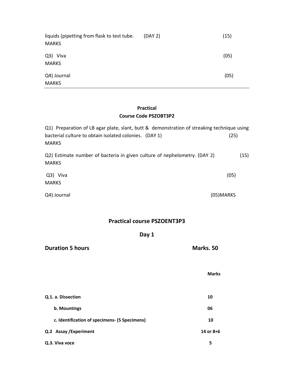| liquids (pipetting from flask to test tube.<br><b>MARKS</b> | (DAY 2) | (15) |
|-------------------------------------------------------------|---------|------|
| Q3) Viva<br><b>MARKS</b>                                    |         | (05) |
| Q4) Journal<br><b>MARKS</b>                                 |         | (05) |

#### **Practical Course Code PSZOBT3P2**

| Q1) Preparation of LB agar plate, slant, butt & demonstration of streaking technique using |            |
|--------------------------------------------------------------------------------------------|------------|
| bacterial culture to obtain isolated colonies. (DAY 1)<br><b>MARKS</b>                     | (25)       |
| Q2) Estimate number of bacteria in given culture of nephelometry. (DAY 2)<br><b>MARKS</b>  | (15)       |
| Q3) Viva<br><b>MARKS</b>                                                                   | (05)       |
| Q4) Journal                                                                                | (05) MARKS |

**Practical course PSZOENT3P3**

## **Day 1**

|                                               | <b>Marks</b> |  |
|-----------------------------------------------|--------------|--|
| Q.1. a. Dissection                            | 10           |  |
| b. Mountings                                  | 06           |  |
| c. Identification of specimens- (5 Specimens) | 10           |  |
| Q.2 Assay / Experiment                        | 14 or 8+6    |  |
| Q.3. Viva voce                                | 5            |  |

**Duration 5 hours Marks. 50**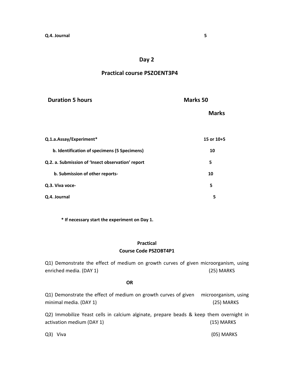#### **Day 2**

#### **Practical course PSZOENT3P4**

| <b>Duration 5 hours</b>                           | <b>Marks 50</b> |  |
|---------------------------------------------------|-----------------|--|
|                                                   | <b>Marks</b>    |  |
| Q.1.a.Assay/Experiment*                           | 15 or 10+5      |  |
| b. Identification of specimens (5 Specimens)      | 10              |  |
| Q.2. a. Submission of 'Insect observation' report | 5               |  |
| b. Submission of other reports-                   | 10              |  |
| Q.3. Viva voce-                                   | 5               |  |
| Q.4. Journal                                      | 5               |  |

**\* If necessary start the experiment on Day 1.**

#### **Practical Course Code PSZOBT4P1**

Q1) Demonstrate the effect of medium on growth curves of given microorganism, using enriched media. (DAY 1) (25) MARKS

#### **OR**

Q1) Demonstrate the effect of medium on growth curves of given microorganism, using minimal media. (DAY 1) (25) MARKS

Q2) Immobilize Yeast cells in calcium alginate, prepare beads & keep them overnight in activation medium (DAY 1) (15) MARKS

Q3) Viva (05) MARKS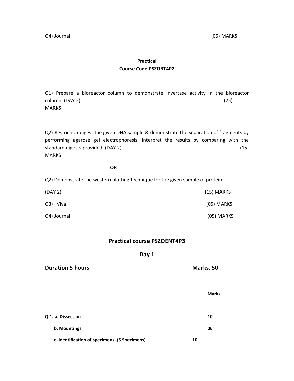#### **Practical Course Code PSZOBT4P2**

Q1) Prepare a bioreactor column to demonstrate Invertase activity in the bioreactor  $\text{column. (DAY 2)}$  (25) MARKS

Q2) Restriction-digest the given DNA sample & demonstrate the separation of fragments by performing agarose gel electrophoresis. Interpret the results by comparing with the standard digests provided. (DAY 2) (15) MARKS

#### **OR**

Q2) Demonstrate the western blotting technique for the given sample of protein.

| (DAY 2)     | (15) MARKS |
|-------------|------------|
| Q3) Viva    | (05) MARKS |
| Q4) Journal | (05) MARKS |

#### **Practical course PSZOENT4P3**

#### **Day 1**

| <b>Duration 5 hours</b>                       | Marks. 50    |  |
|-----------------------------------------------|--------------|--|
|                                               | <b>Marks</b> |  |
| Q.1. a. Dissection                            | 10           |  |
| b. Mountings                                  | 06           |  |
| c. Identification of specimens- (5 Specimens) | 10           |  |